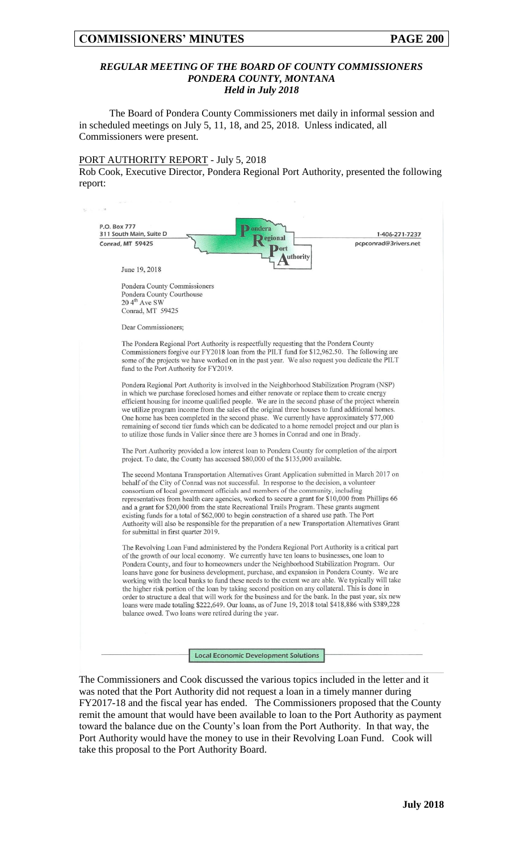## *REGULAR MEETING OF THE BOARD OF COUNTY COMMISSIONERS PONDERA COUNTY, MONTANA Held in July 2018*

The Board of Pondera County Commissioners met daily in informal session and in scheduled meetings on July 5, 11, 18, and 25, 2018. Unless indicated, all Commissioners were present.

#### PORT AUTHORITY REPORT - July 5, 2018

 $\mathbf{v}$  ,  $\mathbf{v}$  ,  $\mathbf{v}$  ,  $\mathbf{v}$  ,

Rob Cook, Executive Director, Pondera Regional Port Authority, presented the following report:

| Conrad, MT 59425<br>June 19, 2018                     | egional<br><b>ort</b>                                                                       | pcpconrad@3rivers.net                                                                                                                                                                               |
|-------------------------------------------------------|---------------------------------------------------------------------------------------------|-----------------------------------------------------------------------------------------------------------------------------------------------------------------------------------------------------|
|                                                       |                                                                                             |                                                                                                                                                                                                     |
|                                                       | uthority                                                                                    |                                                                                                                                                                                                     |
|                                                       |                                                                                             |                                                                                                                                                                                                     |
|                                                       |                                                                                             |                                                                                                                                                                                                     |
| Pondera County Commissioners                          |                                                                                             |                                                                                                                                                                                                     |
| Pondera County Courthouse                             |                                                                                             |                                                                                                                                                                                                     |
| 20 4 <sup>th</sup> Ave SW                             |                                                                                             |                                                                                                                                                                                                     |
| Conrad, MT 59425                                      |                                                                                             |                                                                                                                                                                                                     |
|                                                       |                                                                                             |                                                                                                                                                                                                     |
| Dear Commissioners;                                   |                                                                                             |                                                                                                                                                                                                     |
|                                                       | The Pondera Regional Port Authority is respectfully requesting that the Pondera County      |                                                                                                                                                                                                     |
|                                                       |                                                                                             | Commissioners forgive our FY2018 loan from the PILT fund for \$12,962.50. The following are                                                                                                         |
|                                                       |                                                                                             | some of the projects we have worked on in the past year. We also request you dedicate the PILT                                                                                                      |
| fund to the Port Authority for FY2019.                |                                                                                             |                                                                                                                                                                                                     |
|                                                       |                                                                                             |                                                                                                                                                                                                     |
|                                                       |                                                                                             | Pondera Regional Port Authority is involved in the Neighborhood Stabilization Program (NSP)                                                                                                         |
|                                                       |                                                                                             | in which we purchase foreclosed homes and either renovate or replace them to create energy                                                                                                          |
|                                                       |                                                                                             | efficient housing for income qualified people. We are in the second phase of the project wherein<br>we utilize program income from the sales of the original three houses to fund additional homes. |
|                                                       |                                                                                             | One home has been completed in the second phase. We currently have approximately \$77,000                                                                                                           |
|                                                       |                                                                                             | remaining of second tier funds which can be dedicated to a home remodel project and our plan is                                                                                                     |
|                                                       | to utilize those funds in Valier since there are 3 homes in Conrad and one in Brady.        |                                                                                                                                                                                                     |
|                                                       |                                                                                             |                                                                                                                                                                                                     |
|                                                       |                                                                                             | The Port Authority provided a low interest loan to Pondera County for completion of the airport                                                                                                     |
|                                                       | project. To date, the County has accessed \$80,000 of the \$135,000 available.              |                                                                                                                                                                                                     |
|                                                       |                                                                                             | The second Montana Transportation Alternatives Grant Application submitted in March 2017 on                                                                                                         |
|                                                       | behalf of the City of Conrad was not successful. In response to the decision, a volunteer   |                                                                                                                                                                                                     |
|                                                       | consortium of local government officials and members of the community, including            |                                                                                                                                                                                                     |
|                                                       |                                                                                             | representatives from health care agencies, worked to secure a grant for \$10,000 from Phillips 66                                                                                                   |
|                                                       | and a grant for \$20,000 from the state Recreational Trails Program. These grants augment   |                                                                                                                                                                                                     |
|                                                       | existing funds for a total of \$62,000 to begin construction of a shared use path. The Port |                                                                                                                                                                                                     |
|                                                       |                                                                                             | Authority will also be responsible for the preparation of a new Transportation Alternatives Grant                                                                                                   |
| for submittal in first quarter 2019.                  |                                                                                             |                                                                                                                                                                                                     |
|                                                       |                                                                                             | The Revolving Loan Fund administered by the Pondera Regional Port Authority is a critical part                                                                                                      |
|                                                       | of the growth of our local economy. We currently have ten loans to businesses, one loan to  |                                                                                                                                                                                                     |
|                                                       |                                                                                             | Pondera County, and four to homeowners under the Neighborhood Stabilization Program. Our                                                                                                            |
|                                                       |                                                                                             | loans have gone for business development, purchase, and expansion in Pondera County. We are                                                                                                         |
|                                                       |                                                                                             | working with the local banks to fund these needs to the extent we are able. We typically will take                                                                                                  |
|                                                       |                                                                                             | the higher risk portion of the loan by taking second position on any collateral. This is done in                                                                                                    |
|                                                       |                                                                                             | order to structure a deal that will work for the business and for the bank. In the past year, six new                                                                                               |
| balance owed. Two loans were retired during the year. |                                                                                             | loans were made totaling \$222,649. Our loans, as of June 19, 2018 total \$418,886 with \$389,228                                                                                                   |
|                                                       |                                                                                             |                                                                                                                                                                                                     |
|                                                       |                                                                                             |                                                                                                                                                                                                     |
|                                                       |                                                                                             |                                                                                                                                                                                                     |

The Commissioners and Cook discussed the various topics included in the letter and it was noted that the Port Authority did not request a loan in a timely manner during FY2017-18 and the fiscal year has ended. The Commissioners proposed that the County remit the amount that would have been available to loan to the Port Authority as payment toward the balance due on the County's loan from the Port Authority. In that way, the Port Authority would have the money to use in their Revolving Loan Fund. Cook will take this proposal to the Port Authority Board.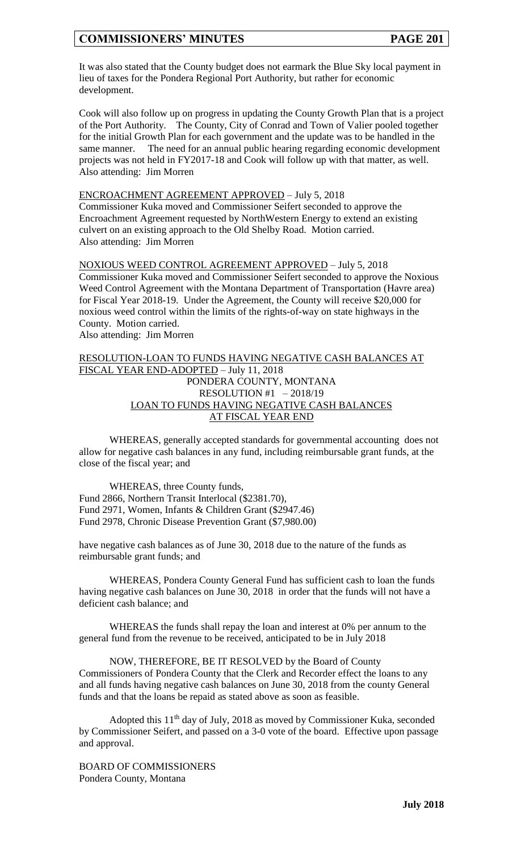It was also stated that the County budget does not earmark the Blue Sky local payment in lieu of taxes for the Pondera Regional Port Authority, but rather for economic development.

Cook will also follow up on progress in updating the County Growth Plan that is a project of the Port Authority. The County, City of Conrad and Town of Valier pooled together for the initial Growth Plan for each government and the update was to be handled in the same manner. The need for an annual public hearing regarding economic development projects was not held in FY2017-18 and Cook will follow up with that matter, as well. Also attending: Jim Morren

#### ENCROACHMENT AGREEMENT APPROVED – July 5, 2018

Commissioner Kuka moved and Commissioner Seifert seconded to approve the Encroachment Agreement requested by NorthWestern Energy to extend an existing culvert on an existing approach to the Old Shelby Road. Motion carried. Also attending: Jim Morren

NOXIOUS WEED CONTROL AGREEMENT APPROVED – July 5, 2018 Commissioner Kuka moved and Commissioner Seifert seconded to approve the Noxious Weed Control Agreement with the Montana Department of Transportation (Havre area) for Fiscal Year 2018-19. Under the Agreement, the County will receive \$20,000 for noxious weed control within the limits of the rights-of-way on state highways in the County. Motion carried. Also attending: Jim Morren

## RESOLUTION-LOAN TO FUNDS HAVING NEGATIVE CASH BALANCES AT FISCAL YEAR END-ADOPTED – July 11, 2018 PONDERA COUNTY, MONTANA RESOLUTION #1 – 2018/19 LOAN TO FUNDS HAVING NEGATIVE CASH BALANCES AT FISCAL YEAR END

WHEREAS, generally accepted standards for governmental accounting does not allow for negative cash balances in any fund, including reimbursable grant funds, at the close of the fiscal year; and

WHEREAS, three County funds, Fund 2866, Northern Transit Interlocal (\$2381.70), Fund 2971, Women, Infants & Children Grant (\$2947.46) Fund 2978, Chronic Disease Prevention Grant (\$7,980.00)

have negative cash balances as of June 30, 2018 due to the nature of the funds as reimbursable grant funds; and

WHEREAS, Pondera County General Fund has sufficient cash to loan the funds having negative cash balances on June 30, 2018 in order that the funds will not have a deficient cash balance; and

WHEREAS the funds shall repay the loan and interest at 0% per annum to the general fund from the revenue to be received, anticipated to be in July 2018

NOW, THEREFORE, BE IT RESOLVED by the Board of County Commissioners of Pondera County that the Clerk and Recorder effect the loans to any and all funds having negative cash balances on June 30, 2018 from the county General funds and that the loans be repaid as stated above as soon as feasible.

Adopted this  $11<sup>th</sup>$  day of July, 2018 as moved by Commissioner Kuka, seconded by Commissioner Seifert, and passed on a 3-0 vote of the board. Effective upon passage and approval.

BOARD OF COMMISSIONERS Pondera County, Montana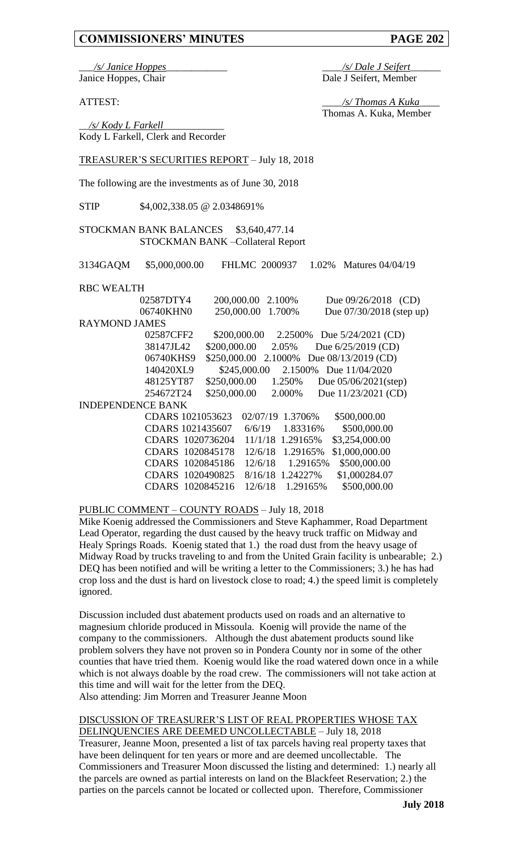\_\_\_*/s/ Janice Hoppes*\_\_\_\_\_\_\_\_\_\_\_\_ \_\_\_\_*/s/ Dale J Seifert*\_\_\_\_\_\_ Janice Hoppes, Chair Dale J Seifert, Member

ATTEST: \_\_\_\_*/s/ Thomas A Kuka*\_\_\_\_ Thomas A. Kuka, Member

\_\_*/s/ Kody L Farkell*\_\_\_\_\_\_\_\_\_\_\_\_ Kody L Farkell, Clerk and Recorder

## TREASURER'S SECURITIES REPORT – July 18, 2018

The following are the investments as of June 30, 2018

STIP \$4,002,338.05 @ 2.0348691%

## STOCKMAN BANK BALANCES \$3,640,477.14 STOCKMAN BANK –Collateral Report

3134GAQM \$5,000,000.00 FHLMC 2000937 1.02% Matures 04/04/19

## RBC WEALTH

| 02587DTY4                | 200,000.00   | 2.100%           | Due $09/26/2018$ (CD)      |  |  |  |  |
|--------------------------|--------------|------------------|----------------------------|--|--|--|--|
| 06740KHN0                | 250,000.00   | 1.700%           | Due $07/30/2018$ (step up) |  |  |  |  |
| <b>RAYMOND JAMES</b>     |              |                  |                            |  |  |  |  |
| 02587CFF2                | \$200,000.00 | 2.2500\%         | Due $5/24/2021$ (CD)       |  |  |  |  |
| 38147JL42                | \$200,000.00 | 2.05%            | Due $6/25/2019$ (CD)       |  |  |  |  |
| 06740KHS9                | \$250,000.00 | 2.1000\%         | Due 08/13/2019 (CD)        |  |  |  |  |
| 140420XL9                | \$245,000.00 | 2.1500%          | Due 11/04/2020             |  |  |  |  |
| 48125YT87                | \$250,000.00 | 1.250%           | Due $05/06/2021$ (step)    |  |  |  |  |
| 254672T24                | \$250,000.00 | 2.000%           | Due 11/23/2021 (CD)        |  |  |  |  |
| <b>INDEPENDENCE BANK</b> |              |                  |                            |  |  |  |  |
| CDARS 1021053623         |              | 02/07/19 1.3706% | \$500,000.00               |  |  |  |  |
| CDARS 1021435607         | 6/6/19       | 1.83316\%        | \$500,000.00               |  |  |  |  |
| CDARS 1020736204         |              | 11/1/18 1.29165% | \$3,254,000.00             |  |  |  |  |
| CDARS 1020845178         | 12/6/18      | 1.29165%         | \$1,000,000.00             |  |  |  |  |
| CDARS 1020845186         | 12/6/18      | 1.29165%         | \$500,000.00               |  |  |  |  |
| CDARS 1020490825         | 8/16/18      | 1.24227%         | \$1,000284.07              |  |  |  |  |
| CDARS 1020845216         | 12/6/18      | 1.29165%         | \$500,000.00               |  |  |  |  |

PUBLIC COMMENT – COUNTY ROADS – July 18, 2018

Mike Koenig addressed the Commissioners and Steve Kaphammer, Road Department Lead Operator, regarding the dust caused by the heavy truck traffic on Midway and Healy Springs Roads. Koenig stated that 1.) the road dust from the heavy usage of Midway Road by trucks traveling to and from the United Grain facility is unbearable; 2.) DEQ has been notified and will be writing a letter to the Commissioners; 3.) he has had crop loss and the dust is hard on livestock close to road; 4.) the speed limit is completely ignored.

Discussion included dust abatement products used on roads and an alternative to magnesium chloride produced in Missoula. Koenig will provide the name of the company to the commissioners. Although the dust abatement products sound like problem solvers they have not proven so in Pondera County nor in some of the other counties that have tried them. Koenig would like the road watered down once in a while which is not always doable by the road crew. The commissioners will not take action at this time and will wait for the letter from the DEQ.

Also attending: Jim Morren and Treasurer Jeanne Moon

## DISCUSSION OF TREASURER'S LIST OF REAL PROPERTIES WHOSE TAX DELINQUENCIES ARE DEEMED UNCOLLECTABLE – July 18, 2018

Treasurer, Jeanne Moon, presented a list of tax parcels having real property taxes that have been delinquent for ten years or more and are deemed uncollectable. The Commissioners and Treasurer Moon discussed the listing and determined: 1.) nearly all the parcels are owned as partial interests on land on the Blackfeet Reservation; 2.) the parties on the parcels cannot be located or collected upon. Therefore, Commissioner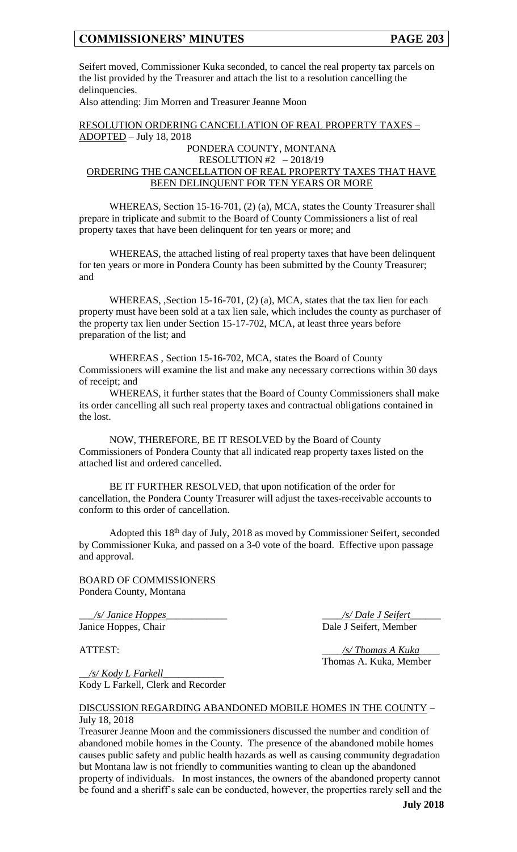Seifert moved, Commissioner Kuka seconded, to cancel the real property tax parcels on the list provided by the Treasurer and attach the list to a resolution cancelling the delinquencies.

Also attending: Jim Morren and Treasurer Jeanne Moon

RESOLUTION ORDERING CANCELLATION OF REAL PROPERTY TAXES – ADOPTED – July 18, 2018

## PONDERA COUNTY, MONTANA RESOLUTION #2 – 2018/19 ORDERING THE CANCELLATION OF REAL PROPERTY TAXES THAT HAVE BEEN DELINQUENT FOR TEN YEARS OR MORE

WHEREAS, Section 15-16-701, (2) (a), MCA, states the County Treasurer shall prepare in triplicate and submit to the Board of County Commissioners a list of real property taxes that have been delinquent for ten years or more; and

WHEREAS, the attached listing of real property taxes that have been delinquent for ten years or more in Pondera County has been submitted by the County Treasurer; and

WHEREAS, ,Section 15-16-701, (2) (a), MCA, states that the tax lien for each property must have been sold at a tax lien sale, which includes the county as purchaser of the property tax lien under Section 15-17-702, MCA, at least three years before preparation of the list; and

WHEREAS , Section 15-16-702, MCA, states the Board of County Commissioners will examine the list and make any necessary corrections within 30 days of receipt; and

WHEREAS, it further states that the Board of County Commissioners shall make its order cancelling all such real property taxes and contractual obligations contained in the lost.

NOW, THEREFORE, BE IT RESOLVED by the Board of County Commissioners of Pondera County that all indicated reap property taxes listed on the attached list and ordered cancelled.

BE IT FURTHER RESOLVED, that upon notification of the order for cancellation, the Pondera County Treasurer will adjust the taxes-receivable accounts to conform to this order of cancellation.

Adopted this 18th day of July, 2018 as moved by Commissioner Seifert, seconded by Commissioner Kuka, and passed on a 3-0 vote of the board. Effective upon passage and approval.

BOARD OF COMMISSIONERS Pondera County, Montana

\_\_\_*/s/ Janice Hoppes*\_\_\_\_\_\_\_\_\_\_\_\_ \_\_\_\_*/s/ Dale J Seifert*\_\_\_\_\_\_ Janice Hoppes, Chair Dale J Seifert, Member

ATTEST: \_\_\_\_*/s/ Thomas A Kuka*\_\_\_\_ Thomas A. Kuka, Member

\_\_*/s/ Kody L Farkell*\_\_\_\_\_\_\_\_\_\_\_\_ Kody L Farkell, Clerk and Recorder

## DISCUSSION REGARDING ABANDONED MOBILE HOMES IN THE COUNTY – July 18, 2018

Treasurer Jeanne Moon and the commissioners discussed the number and condition of abandoned mobile homes in the County. The presence of the abandoned mobile homes causes public safety and public health hazards as well as causing community degradation but Montana law is not friendly to communities wanting to clean up the abandoned property of individuals. In most instances, the owners of the abandoned property cannot be found and a sheriff's sale can be conducted, however, the properties rarely sell and the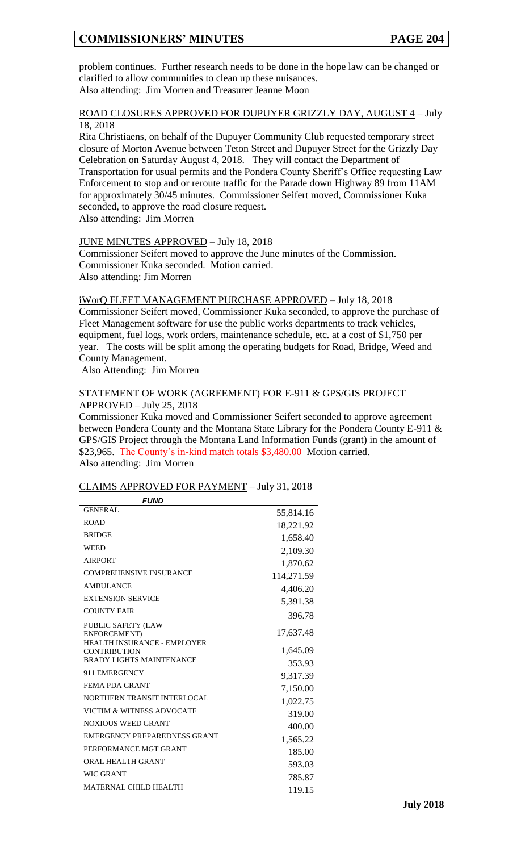problem continues. Further research needs to be done in the hope law can be changed or clarified to allow communities to clean up these nuisances. Also attending: Jim Morren and Treasurer Jeanne Moon

## ROAD CLOSURES APPROVED FOR DUPUYER GRIZZLY DAY, AUGUST 4 – July 18, 2018

Rita Christiaens, on behalf of the Dupuyer Community Club requested temporary street closure of Morton Avenue between Teton Street and Dupuyer Street for the Grizzly Day Celebration on Saturday August 4, 2018. They will contact the Department of Transportation for usual permits and the Pondera County Sheriff's Office requesting Law Enforcement to stop and or reroute traffic for the Parade down Highway 89 from 11AM for approximately 30/45 minutes. Commissioner Seifert moved, Commissioner Kuka seconded, to approve the road closure request.

Also attending: Jim Morren

## JUNE MINUTES APPROVED – July 18, 2018

Commissioner Seifert moved to approve the June minutes of the Commission. Commissioner Kuka seconded. Motion carried. Also attending: Jim Morren

#### iWorQ FLEET MANAGEMENT PURCHASE APPROVED – July 18, 2018

Commissioner Seifert moved, Commissioner Kuka seconded, to approve the purchase of Fleet Management software for use the public works departments to track vehicles, equipment, fuel logs, work orders, maintenance schedule, etc. at a cost of \$1,750 per year. The costs will be split among the operating budgets for Road, Bridge, Weed and County Management.

Also Attending: Jim Morren

## STATEMENT OF WORK (AGREEMENT) FOR E-911 & GPS/GIS PROJECT APPROVED – July 25, 2018

Commissioner Kuka moved and Commissioner Seifert seconded to approve agreement between Pondera County and the Montana State Library for the Pondera County E-911 & GPS/GIS Project through the Montana Land Information Funds (grant) in the amount of \$23,965. The County's in-kind match totals \$3,480.00 Motion carried.

Also attending: Jim Morren

# *FUND* GENERAL 55,814.16 ROAD 18,221.92<br>RRIDGE 1.659.49 BRIDGE 1,658.40<br>WEED 2,100.20 WEED  $2,109.30$ <br>AIRPORT  $1,979.62$ AIRPORT 1,870.62 COMPREHENSIVE INSURANCE 114,271.59 AMBULANCE 4,406.20 EXTENSION SERVICE 5,391.38 COUNTY FAIR 396.78 PUBLIC SAFETY (LAW ENFORCEMENT) 17,637.48 HEALTH INSURANCE - EMPLOYER CONTRIBUTION 1,645.09 BRADY LIGHTS MAINTENANCE 353.93 911 EMERGENCY 9,317.39 FEMA PDA GRANT 7,150.00 NORTHERN TRANSIT INTERLOCAL 1,022.75 VICTIM & WITNESS ADVOCATE 319.00 NOXIOUS WEED GRANT 400.00 EMERGENCY PREPAREDNESS GRANT 1,565.22 PERFORMANCE MGT GRANT 185.00 ORAL HEALTH GRANT 593.03 WIC GRANT 785.87 MATERNAL CHILD HEALTH 119.15

#### CLAIMS APPROVED FOR PAYMENT – July 31, 2018